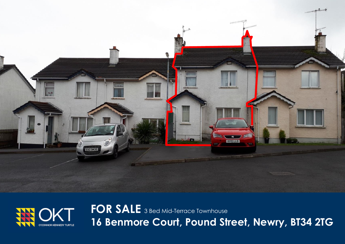



**FOR SALE** 3 Bed Mid-Terrace Townhouse **16 Benmore Court, Pound Street, Newry, BT34 2TG**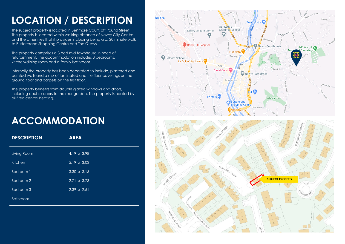# **LOCATION / DESCRIPTION**

The subject property is located in Benmore Court, off Pound Street. The property is located within walking distance of Newry City Centre and the amenities that it provides including being a c. 20 minute walk to Buttercrane Shopping Centre and The Quays.

The property comprises a 3 bed mid townhouse in need of refurbishment. The accommodation includes 3 bedrooms, kitchen/dining room and a family bathroom.

Internally the property has been decorated to include, plastered and painted walls and a mix of laminated and tile floor coverings on the ground floor and carpets on the first floor.

The property benefits from double glazed windows and doors, including double doors to the rear garden. The property is heated by oil fired central heating.

### **ACCOMMODATION**

| <b>DESCRIPTION</b> | <b>AREA</b>        |
|--------------------|--------------------|
| Living Room        | 4.19 x 3.98        |
| Kitchen            | $5.19 \times 3.02$ |
| Bedroom 1          | $3.30 \times 3.15$ |
| Bedroom 2          | $2.71 \times 3.73$ |
| Bedroom 3          | $2.39 \times 2.61$ |
| <b>Bathroom</b>    |                    |